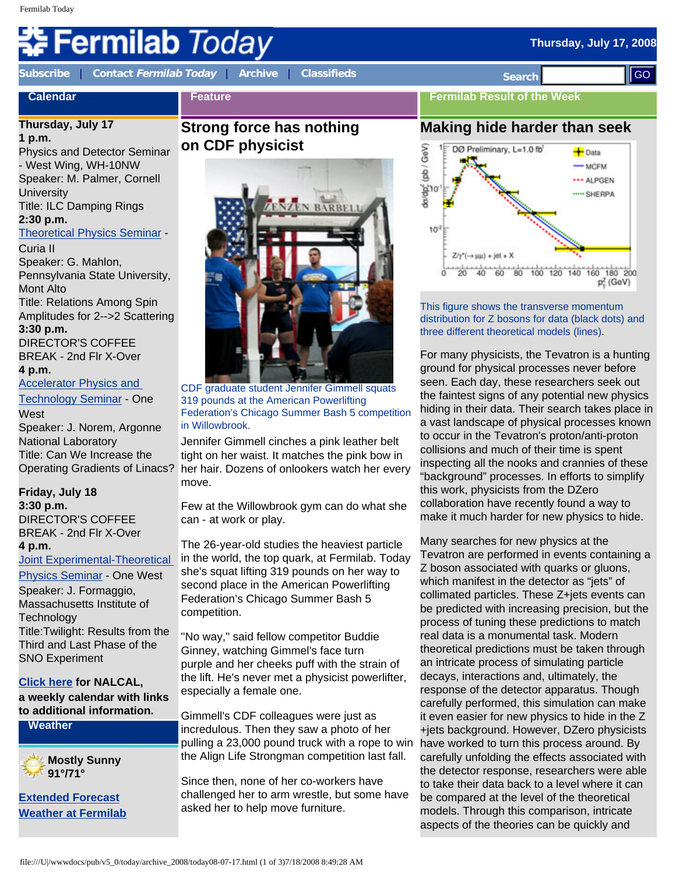# **Fermilab** *Today*

**Calendar**

**[Subscribe](http://www.fnal.gov/pub/today/subscription.html)** | **Contact [Fermilab Today](mailto:today@fnal.gov)** | **[Archive](http://www.fnal.gov/pub/today/archive.html)** | **[Classifieds](http://www.fnal.gov/pub/today/classifieds.html) Search** 

**Fermilab Result of the Week**

## **Thursday, July 17**

**1 p.m.**  Physics and Detector Seminar - West Wing, WH-10NW Speaker: M. Palmer, Cornell **University** Title: ILC Damping Rings **2:30 p.m.** [Theoretical Physics Seminar](http://theory.fnal.gov/seminars/seminars.html) - Curia II

Speaker: G. Mahlon, Pennsylvania State University, Mont Alto Title: Relations Among Spin Amplitudes for 2-->2 Scattering **3:30 p.m.**  DIRECTOR'S COFFEE BREAK - 2nd Flr X-Over **4 p.m.** 

[Accelerator Physics and](http://www-bd.fnal.gov/ADSeminars/)

[Technology Seminar](http://www-bd.fnal.gov/ADSeminars/) - One **West** Speaker: J. Norem, Argonne National Laboratory

Title: Can We Increase the Operating Gradients of Linacs?

#### **Friday, July 18**

**3:30 p.m.**  DIRECTOR'S COFFEE BREAK - 2nd Flr X-Over **4 p.m.** 

[Joint Experimental-Theoretical](http://theory.fnal.gov/jetp/) 

[Physics Seminar](http://theory.fnal.gov/jetp/) - One West Speaker: J. Formaggio, Massachusetts Institute of **Technology** Title:Twilight: Results from the Third and Last Phase of the SNO Experiment

**[Click here](http://www.fnal.gov/directorate/nalcal/nalcal07_14_08.html) for NALCAL, a weekly calendar with links to additional information.**

**Weather**



**[Extended Forecast](http://forecast.weather.gov/MapClick.php?CityName=Batavia&state=IL&site=LOT) [Weather at Fermilab](http://www-esh.fnal.gov/pls/default/weather.html)**

# **Strong force has nothing on CDF physicist**

**Feature**



CDF graduate student Jennifer Gimmell squats 319 pounds at the American Powerlifting Federation's Chicago Summer Bash 5 competition in Willowbrook.

Jennifer Gimmell cinches a pink leather belt tight on her waist. It matches the pink bow in her hair. Dozens of onlookers watch her every move.

Few at the Willowbrook gym can do what she can - at work or play.

The 26-year-old studies the heaviest particle in the world, the top quark, at Fermilab. Today she's squat lifting 319 pounds on her way to second place in the American Powerlifting Federation's Chicago Summer Bash 5 competition.

"No way," said fellow competitor Buddie Ginney, watching Gimmel's face turn purple and her cheeks puff with the strain of the lift. He's never met a physicist powerlifter, especially a female one.

Gimmell's CDF colleagues were just as incredulous. Then they saw a photo of her pulling a 23,000 pound truck with a rope to win the Align Life Strongman competition last fall.

Since then, none of her co-workers have challenged her to arm wrestle, but some have asked her to help move furniture.





This figure shows the transverse momentum distribution for Z bosons for data (black dots) and three different theoretical models (lines).

For many physicists, the Tevatron is a hunting ground for physical processes never before seen. Each day, these researchers seek out the faintest signs of any potential new physics hiding in their data. Their search takes place in a vast landscape of physical processes known to occur in the Tevatron's proton/anti-proton collisions and much of their time is spent inspecting all the nooks and crannies of these "background" processes. In efforts to simplify this work, physicists from the DZero collaboration have recently found a way to make it much harder for new physics to hide.

Many searches for new physics at the Tevatron are performed in events containing a Z boson associated with quarks or gluons, which manifest in the detector as "jets" of collimated particles. These Z+jets events can be predicted with increasing precision, but the process of tuning these predictions to match real data is a monumental task. Modern theoretical predictions must be taken through an intricate process of simulating particle decays, interactions and, ultimately, the response of the detector apparatus. Though carefully performed, this simulation can make it even easier for new physics to hide in the Z +jets background. However, DZero physicists have worked to turn this process around. By carefully unfolding the effects associated with the detector response, researchers were able to take their data back to a level where it can be compared at the level of the theoretical models. Through this comparison, intricate aspects of the theories can be quickly and Coloring Control of the state of 2008 and 2008 and 2008 and 2008 and 2008 and 2008 and 2008 and 2008 and 2008 and 2008 and 2008 and 2008 and 2008 and 2008 and 2008 and 2008 and 2008 and 2008 and 2008 and 2008 and 2008 and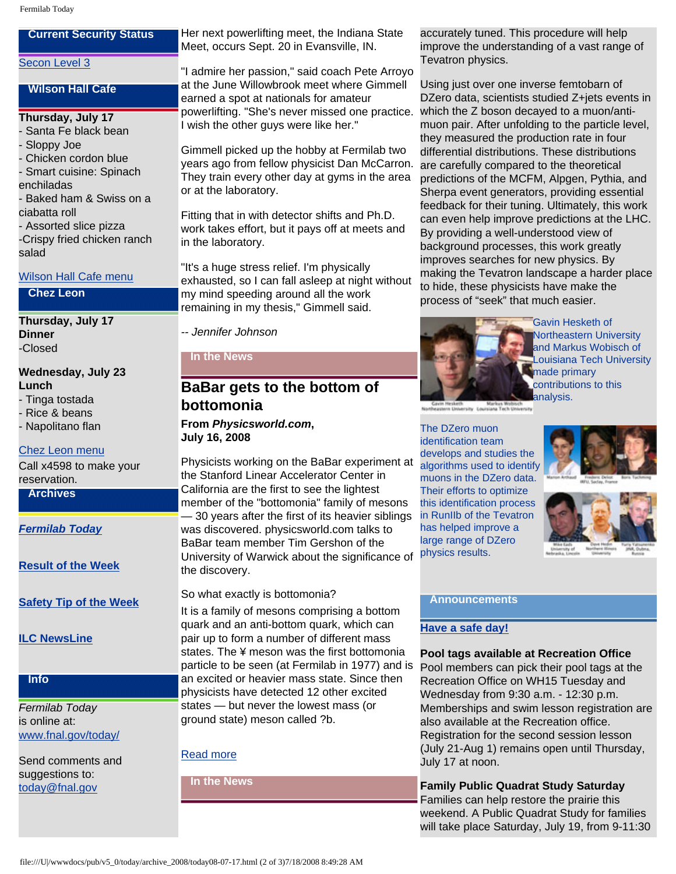## **Current Security Status**

#### [Secon Level 3](http://www.fnal.gov/pub/about/public_affairs/currentstatus.html)

#### **Wilson Hall Cafe**

#### **Thursday, July 17**

- Santa Fe black bean
- Sloppy Joe
- Chicken cordon blue
- Smart cuisine: Spinach
- enchiladas
- Baked ham & Swiss on a ciabatta roll
- Assorted slice pizza -Crispy fried chicken ranch salad

#### [Wilson Hall Cafe menu](http://bss.fnal.gov/cafe/index.html)

#### **Chez Leon**

**Thursday, July 17 Dinner** -Closed

- **Wednesday, July 23 Lunch**
- Tinga tostada
- Rice & beans
- Napolitano flan

#### [Chez Leon menu](http://bss.fnal.gov/chezleon/index.html)

Call x4598 to make your reservation.

#### **Archives**

*[Fermilab Today](http://www.fnal.gov/pub/today/archive.html)*

**[Result of the Week](http://www.fnal.gov/pub/today/resultoftheweek/index.html)**

**[Safety Tip of the Week](http://www.fnal.gov/pub/today/safety/)**

**[ILC NewsLine](http://www.linearcollider.org/newsline/archive/index.html)**

### **Info**

*Fermilab Today* is online at: [www.fnal.gov/today/](http://www.fnal.gov/today/)

Send comments and suggestions to: [today@fnal.gov](mailto:today@fnal.gov)

Her next powerlifting meet, the Indiana State Meet, occurs Sept. 20 in Evansville, IN.

"I admire her passion," said coach Pete Arroyo at the June Willowbrook meet where Gimmell earned a spot at nationals for amateur powerlifting. "She's never missed one practice. I wish the other guys were like her."

Gimmell picked up the hobby at Fermilab two years ago from fellow physicist Dan McCarron. They train every other day at gyms in the area or at the laboratory.

Fitting that in with detector shifts and Ph.D. work takes effort, but it pays off at meets and in the laboratory.

"It's a huge stress relief. I'm physically exhausted, so I can fall asleep at night without my mind speeding around all the work remaining in my thesis," Gimmell said.

*-- Jennifer Johnson*

**In the News**

## **BaBar gets to the bottom of bottomonia**

**From** *Physicsworld.com***, July 16, 2008**

Physicists working on the BaBar experiment at the Stanford Linear Accelerator Center in California are the first to see the lightest member of the "bottomonia" family of mesons — 30 years after the first of its heavier siblings was discovered. physicsworld.com talks to BaBar team member Tim Gershon of the University of Warwick about the significance of the discovery.

So what exactly is bottomonia?

It is a family of mesons comprising a bottom quark and an anti-bottom quark, which can pair up to form a number of different mass states. The ¥ meson was the first bottomonia particle to be seen (at Fermilab in 1977) and is an excited or heavier mass state. Since then physicists have detected 12 other excited states — but never the lowest mass (or ground state) meson called ?b.

#### [Read more](http://physicsworld.com/cws/article/news/35030)

**In the News**

accurately tuned. This procedure will help improve the understanding of a vast range of Tevatron physics.

Using just over one inverse femtobarn of DZero data, scientists studied Z+jets events in which the Z boson decayed to a muon/antimuon pair. After unfolding to the particle level, they measured the production rate in four differential distributions. These distributions are carefully compared to the theoretical predictions of the MCFM, Alpgen, Pythia, and Sherpa event generators, providing essential feedback for their tuning. Ultimately, this work can even help improve predictions at the LHC. By providing a well-understood view of background processes, this work greatly improves searches for new physics. By making the Tevatron landscape a harder place to hide, these physicists have make the process of "seek" that much easier.



iny Lou

#### The DZero muon

identification team develops and studies the algorithms used to identify muons in the DZero data. Their efforts to optimize this identification process in RunIIb of the Tevatron has helped improve a large range of DZero physics results.





#### **Announcements**

#### **[Have a safe day!](http://www.fnal.gov/pub/about/safety/profiles.html)**

**Pool tags available at Recreation Office** Pool members can pick their pool tags at the Recreation Office on WH15 Tuesday and Wednesday from 9:30 a.m. - 12:30 p.m. Memberships and swim lesson registration are also available at the Recreation office. Registration for the second session lesson (July 21-Aug 1) remains open until Thursday, July 17 at noon.

**Family Public Quadrat Study Saturday** Families can help restore the prairie this weekend. A Public Quadrat Study for families will take place Saturday, July 19, from 9-11:30